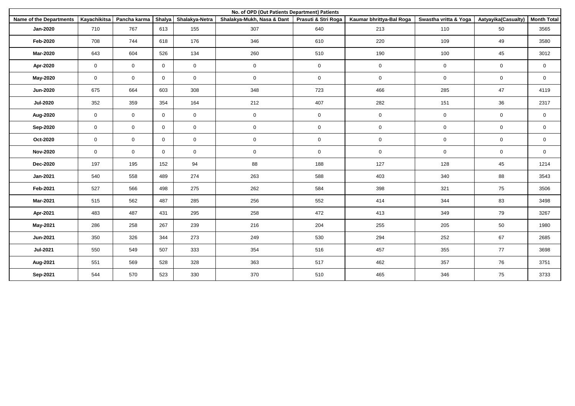| No. of OPD (Out Patients Department) Patients |              |              |                |                |                            |                     |                          |                       |                     |                     |  |
|-----------------------------------------------|--------------|--------------|----------------|----------------|----------------------------|---------------------|--------------------------|-----------------------|---------------------|---------------------|--|
| <b>Name of the Departments</b>                | Kayachikitsa | Pancha karma | Shalya         | Shalakya-Netra | Shalakya-Mukh, Nasa & Dant | Prasuti & Stri Roga | Kaumar bhrittya-Bal Roga | Swastha vritta & Yoga | Aatyayika(Casualty) | <b>Month Total</b>  |  |
| <b>Jan-2020</b>                               | 710          | 767          | 613            | 155            | 307                        | 640                 | 213                      | 110                   | 50                  | 3565                |  |
| <b>Feb-2020</b>                               | 708          | 744          | 618            | 176            | 346                        | 610                 | 220                      | 109                   | 49                  | 3580                |  |
| <b>Mar-2020</b>                               | 643          | 604          | 526            | 134            | 260                        | 510                 | 190                      | 100                   | 45                  | 3012                |  |
| Apr-2020                                      | $\mathbf 0$  | $\mathbf 0$  | $\mathbf 0$    | $\mathbf 0$    | $\mathbf 0$                | $\mathbf 0$         | $\mathbf 0$              | $\mathbf 0$           | $\mathsf 0$         | $\mathbf 0$         |  |
| <b>May-2020</b>                               | $\mathbf 0$  | $\mathbf 0$  | $\mathbf 0$    | $\mathbf 0$    | $\mathbf 0$                | $\mathbf 0$         | $\mathsf{O}\xspace$      | $\mathsf 0$           | $\mathsf 0$         | $\mathsf 0$         |  |
| <b>Jun-2020</b>                               | 675          | 664          | 603            | 308            | 348                        | 723                 | 466                      | 285                   | 47                  | 4119                |  |
| <b>Jul-2020</b>                               | 352          | 359          | 354            | 164            | 212                        | 407                 | 282                      | 151                   | 36                  | 2317                |  |
| Aug-2020                                      | $\mathbf 0$  | $\mathbf 0$  | $\mathbf{0}$   | $\mathbf 0$    | $\mathsf{O}\xspace$        | $\mathsf{O}\xspace$ | $\mathsf{O}$             | $\mathsf 0$           | $\mathbf 0$         | $\mathsf 0$         |  |
| Sep-2020                                      | $\mathbf 0$  | $\mathbf 0$  | $\mathbf 0$    | $\mathbf 0$    | $\mathbf 0$                | $\mathsf{O}\xspace$ | $\mathsf{O}\xspace$      | $\mathsf 0$           | $\mathsf 0$         | $\mathsf 0$         |  |
| Oct-2020                                      | $\mathbf 0$  | $\mathbf 0$  | $\overline{0}$ | $\mathbf 0$    | $\pmb{0}$                  | $\mathsf 0$         | $\mathsf{O}$             | $\mathbf 0$           | $\mathbf 0$         | $\mathsf{O}\xspace$ |  |
| <b>Nov-2020</b>                               | $\mathbf 0$  | $\mathbf 0$  | $\mathbf 0$    | $\mathbf 0$    | $\mathbf 0$                | $\mathbf 0$         | $\mathbf 0$              | $\mathbf 0$           | $\mathbf 0$         | $\mathbf 0$         |  |
| <b>Dec-2020</b>                               | 197          | 195          | 152            | 94             | 88                         | 188                 | 127                      | 128                   | 45                  | 1214                |  |
| Jan-2021                                      | 540          | 558          | 489            | 274            | 263                        | 588                 | 403                      | 340                   | 88                  | 3543                |  |
| Feb-2021                                      | 527          | 566          | 498            | 275            | 262                        | 584                 | 398                      | 321                   | 75                  | 3506                |  |
| Mar-2021                                      | 515          | 562          | 487            | 285            | 256                        | 552                 | 414                      | 344                   | 83                  | 3498                |  |
| Apr-2021                                      | 483          | 487          | 431            | 295            | 258                        | 472                 | 413                      | 349                   | 79                  | 3267                |  |
| May-2021                                      | 286          | 258          | 267            | 239            | 216                        | 204                 | 255                      | 205                   | 50                  | 1980                |  |
| Jun-2021                                      | 350          | 326          | 344            | 273            | 249                        | 530                 | 294                      | 252                   | 67                  | 2685                |  |
| <b>Jul-2021</b>                               | 550          | 549          | 507            | 333            | 354                        | 516                 | 457                      | 355                   | 77                  | 3698                |  |
| Aug-2021                                      | 551          | 569          | 528            | 328            | 363                        | 517                 | 462                      | 357                   | 76                  | 3751                |  |
| Sep-2021                                      | 544          | 570          | 523            | 330            | 370                        | 510                 | 465                      | 346                   | 75                  | 3733                |  |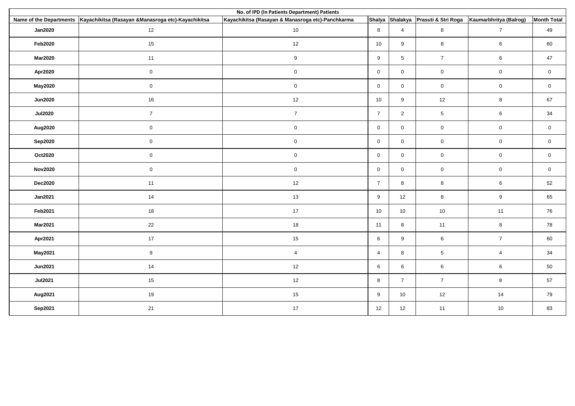| No. of IPD (In Patients Department) Patients |                                                     |                                                   |                |                |                                     |                        |                    |  |  |  |  |
|----------------------------------------------|-----------------------------------------------------|---------------------------------------------------|----------------|----------------|-------------------------------------|------------------------|--------------------|--|--|--|--|
| Name of the Departments                      | Kayachikitsa (Rasayan & Manasroga etc)-Kayachikitsa | Kayachikitsa (Rasayan & Manasroga etc)-Panchkarma |                |                | Shalya Shalakya Prasuti & Stri Roga | Kaumarbhritya (Balrog) | <b>Month Total</b> |  |  |  |  |
| <b>Jan2020</b>                               | 12                                                  | 10                                                | 8              | $\overline{4}$ | $\bf 8$                             | $\overline{7}$         | 49                 |  |  |  |  |
| <b>Feb2020</b>                               | 15                                                  | 12                                                | 10             | 9              | $\bf 8$                             | 6                      | 60                 |  |  |  |  |
| <b>Mar2020</b>                               | 11                                                  | $9\,$                                             | 9              | $\sqrt{5}$     | $\overline{7}$                      | 6                      | 47                 |  |  |  |  |
| Apr2020                                      | $\mathbf 0$                                         | $\mathbf 0$                                       | $\mathbf 0$    | $\mathbf 0$    | $\mathbf 0$                         | 0                      | $\mathbf 0$        |  |  |  |  |
| <b>May2020</b>                               | $\mathsf{O}\xspace$                                 | $\mathsf{O}\xspace$                               | $\mathbf 0$    | $\mathbf 0$    | $\mathsf{O}\xspace$                 | $\mathsf{O}\xspace$    | $\mathbf 0$        |  |  |  |  |
| <b>Jun2020</b>                               | 16                                                  | 12                                                | 10             | 9              | 12                                  | 8                      | 67                 |  |  |  |  |
| <b>Jul2020</b>                               | $\overline{7}$                                      | $\overline{7}$                                    | $\overline{7}$ | $\overline{2}$ | $\sqrt{5}$                          | 6                      | 34                 |  |  |  |  |
| Aug2020                                      | $\mathbf 0$                                         | $\mathbf 0$                                       | $\mathbf 0$    | $\mathbf 0$    | $\overline{0}$                      | $\mathbf 0$            | $\mathbf 0$        |  |  |  |  |
| Sep2020                                      | $\mathbf 0$                                         | $\mathbf 0$                                       | $\mathbf 0$    | $\mathbf 0$    | $\mathsf 0$                         | 0                      | $\mathbf 0$        |  |  |  |  |
| Oct2020                                      | $\mathbf 0$                                         | $\mathsf 0$                                       | $\mathbf 0$    | $\mathbf 0$    | $\mathbf 0$                         | $\mathbf 0$            | $\mathbf 0$        |  |  |  |  |
| <b>Nov2020</b>                               | $\mathbf 0$                                         | $\mathsf{O}$                                      | $\mathbf 0$    | $\mathbf 0$    | $\mathsf{O}\xspace$                 | $\mathbf 0$            | $\mathbf 0$        |  |  |  |  |
| Dec2020                                      | 11                                                  | 12                                                | $\overline{7}$ | 8              | 8                                   | 6                      | 52                 |  |  |  |  |
| <b>Jan2021</b>                               | 14                                                  | 13                                                | 9              | 12             | $\bf 8$                             | 9                      | 65                 |  |  |  |  |
| Feb2021                                      | $18\,$                                              | 17                                                | 10             | 10             | $10$                                | 11                     | 76                 |  |  |  |  |
| <b>Mar2021</b>                               | 22                                                  | $18\,$                                            | 11             | 8              | 11                                  | 8                      | 78                 |  |  |  |  |
| Apr2021                                      | 17                                                  | 15                                                | 6              | 9              | $\,6\,$                             | $\overline{7}$         | 60                 |  |  |  |  |
| <b>May2021</b>                               | $\boldsymbol{9}$                                    | $\overline{4}$                                    | $\overline{4}$ | $\bf8$         | $\sqrt{5}$                          | $\overline{4}$         | 34                 |  |  |  |  |
| <b>Jun2021</b>                               | 14                                                  | $12$                                              | 6              | 6              | $\,6\,$                             | 6                      | 50                 |  |  |  |  |
| <b>Jul2021</b>                               | 15                                                  | 12                                                | 8              | $\overline{7}$ | $\overline{7}$                      | 8                      | 57                 |  |  |  |  |
| Aug2021                                      | 19                                                  | 15                                                | 9              | 10             | 12                                  | 14                     | 79                 |  |  |  |  |
| Sep2021                                      | 21                                                  | 17                                                | 12             | 12             | 11                                  | $10\,$                 | 83                 |  |  |  |  |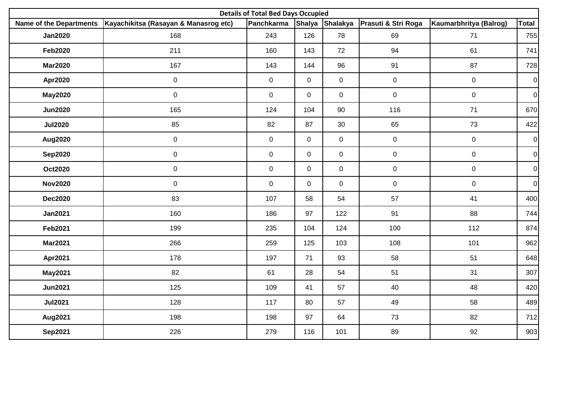| <b>Details of Total Bed Days Occupied</b> |                                       |                |                |                |                                     |                        |                |  |  |  |  |
|-------------------------------------------|---------------------------------------|----------------|----------------|----------------|-------------------------------------|------------------------|----------------|--|--|--|--|
| <b>Name of the Departments</b>            | Kayachikitsa (Rasayan & Manasrog etc) | Panchkarma     |                |                | Shalya Shalakya Prasuti & Stri Roga | Kaumarbhritya (Balrog) | <b>Total</b>   |  |  |  |  |
| <b>Jan2020</b>                            | 168                                   | 243            | 126            | 78             | 69                                  | 71                     | 755            |  |  |  |  |
| <b>Feb2020</b>                            | 211                                   | 160            | 143            | 72             | 94                                  | 61                     | 741            |  |  |  |  |
| <b>Mar2020</b>                            | 167                                   | 143            | 144            | 96             | 91                                  | 87                     | 728            |  |  |  |  |
| <b>Apr2020</b>                            | $\mathbf 0$                           | $\mathbf 0$    | $\mathbf 0$    | $\overline{0}$ | $\mathbf 0$                         | $\mathbf 0$            | $\overline{0}$ |  |  |  |  |
| <b>May2020</b>                            | $\mathbf 0$                           | $\mathsf{O}$   | $\overline{0}$ | $\mathsf{O}$   | $\mathsf{O}\xspace$                 | $\mathbf 0$            | $\overline{0}$ |  |  |  |  |
| <b>Jun2020</b>                            | 165                                   | 124            | 104            | 90             | 116                                 | 71                     | 670            |  |  |  |  |
| <b>Jul2020</b>                            | 85                                    | 82             | 87             | 30             | 65                                  | 73                     | 422            |  |  |  |  |
| <b>Aug2020</b>                            | $\mathbf 0$                           | $\overline{0}$ | $\overline{0}$ | $\mathsf{O}$   | $\pmb{0}$                           | $\mathsf{O}\xspace$    | $\overline{0}$ |  |  |  |  |
| <b>Sep2020</b>                            | $\mathbf 0$                           | $\overline{0}$ | $\overline{0}$ | $\overline{0}$ | $\mathbf 0$                         | $\overline{0}$         | $\overline{0}$ |  |  |  |  |
| <b>Oct2020</b>                            | $\mathsf{O}\xspace$                   | $\mathsf{O}$   | $\overline{0}$ | $\mathsf{O}$   | $\mathsf{O}\xspace$                 | $\mathbf 0$            | $\overline{0}$ |  |  |  |  |
| <b>Nov2020</b>                            | $\mathsf 0$                           | $\mathbf 0$    | $\overline{0}$ | $\mathsf{O}$   | $\pmb{0}$                           | $\mathbf 0$            | $\overline{0}$ |  |  |  |  |
| <b>Dec2020</b>                            | 83                                    | 107            | 58             | 54             | 57                                  | 41                     | 400            |  |  |  |  |
| <b>Jan2021</b>                            | 160                                   | 186            | 97             | 122            | 91                                  | 88                     | 744            |  |  |  |  |
| <b>Feb2021</b>                            | 199                                   | 235            | 104            | 124            | 100                                 | 112                    | 874            |  |  |  |  |
| <b>Mar2021</b>                            | 266                                   | 259            | 125            | 103            | 108                                 | 101                    | 962            |  |  |  |  |
| Apr2021                                   | 178                                   | 197            | 71             | 93             | 58                                  | 51                     | 648            |  |  |  |  |
| <b>May2021</b>                            | 82                                    | 61             | 28             | 54             | 51                                  | 31                     | 307            |  |  |  |  |
| <b>Jun2021</b>                            | 125                                   | 109            | 41             | 57             | 40                                  | 48                     | 420            |  |  |  |  |
| <b>Jul2021</b>                            | 128                                   | 117            | 80             | 57             | 49                                  | 58                     | 489            |  |  |  |  |
| Aug2021                                   | 198                                   | 198            | 97             | 64             | 73                                  | 82                     | 712            |  |  |  |  |
| <b>Sep2021</b>                            | 226                                   | 279            | 116            | 101            | 89                                  | 92                     | 903            |  |  |  |  |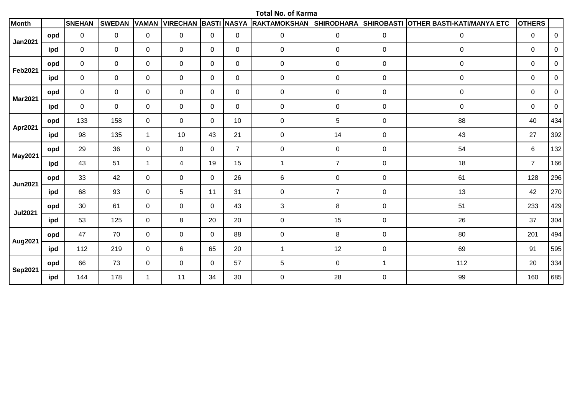**Total No. of Karma**

| <b>Month</b>   |     | <b>SNEHAN</b> | <b>SWEDAN</b> | <b>VAMAN</b>   | <b>VIRECHAN BASTI NASYA</b> |              |                | RAKTAMOKSHAN SHIRODHARA |                |                | SHIROBASTI OTHER BASTI-KATI/MANYA ETC | <b>OTHERS</b>  |             |
|----------------|-----|---------------|---------------|----------------|-----------------------------|--------------|----------------|-------------------------|----------------|----------------|---------------------------------------|----------------|-------------|
| <b>Jan2021</b> | opd | 0             | $\mathbf 0$   | $\mathbf 0$    | 0                           | 0            | 0              | $\mathbf 0$             | $\mathbf 0$    | 0              | $\pmb{0}$                             | 0              | 0           |
|                | ipd | 0             | $\mathbf 0$   | 0              | 0                           | $\mathbf{0}$ | 0              | 0                       | $\pmb{0}$      | 0              | $\pmb{0}$                             | $\mathsf{O}$   | 0           |
| <b>Feb2021</b> | opd | 0             | $\mathbf 0$   | $\mathbf 0$    | 0                           | $\mathbf{0}$ | $\mathbf 0$    | 0                       | $\pmb{0}$      | $\mathbf 0$    | $\pmb{0}$                             | 0              | $\mathbf 0$ |
|                | ipd | 0             | $\mathbf 0$   | 0              | 0                           | 0            | 0              | 0                       | $\mathbf 0$    | 0              | $\pmb{0}$                             | 0              | 0           |
|                | opd | 0             | $\mathbf 0$   | $\mathbf 0$    | 0                           | 0            | 0              | 0                       | $\pmb{0}$      | 0              | $\pmb{0}$                             | 0              | 0           |
| <b>Mar2021</b> | ipd | 0             | $\mathbf 0$   | $\mathbf{0}$   | 0                           | $\mathbf{0}$ | $\mathbf{0}$   | 0                       | $\pmb{0}$      | 0              | $\pmb{0}$                             | 0              | 0           |
|                | opd | 133           | 158           | $\mathbf 0$    | $\mathbf 0$                 | $\mathbf 0$  | 10             | $\pmb{0}$               | 5              | $\pmb{0}$      | 88                                    | 40             | 434         |
| Apr2021        | ipd | 98            | 135           | $\overline{1}$ | 10                          | 43           | 21             | $\pmb{0}$               | 14             | $\mathbf 0$    | 43                                    | 27             | 392         |
|                | opd | 29            | 36            | $\mathbf 0$    | $\mathbf 0$                 | $\mathbf 0$  | $\overline{7}$ | $\mathbf 0$             | $\mathsf 0$    | 0              | 54                                    | 6              | 132         |
| <b>May2021</b> | ipd | 43            | 51            | $\overline{1}$ | 4                           | 19           | 15             | $\mathbf{1}$            | $\overline{7}$ | $\mathbf 0$    | 18                                    | $\overline{7}$ | 166         |
|                | opd | 33            | 42            | $\mathbf{0}$   | $\mathbf 0$                 | $\mathbf 0$  | 26             | 6                       | $\mathsf 0$    | 0              | 61                                    | 128            | 296         |
| <b>Jun2021</b> | ipd | 68            | 93            | $\mathbf 0$    | 5                           | 11           | 31             | $\mathbf 0$             | $\overline{7}$ | $\mathbf 0$    | 13                                    | 42             | 270         |
|                | opd | 30            | 61            | $\mathbf 0$    | $\mathbf 0$                 | $\mathbf{0}$ | 43             | $\mathbf{3}$            | $\,8\,$        | $\mathbf 0$    | 51                                    | 233            | 429         |
| <b>Jul2021</b> | ipd | 53            | 125           | $\mathbf 0$    | 8                           | 20           | 20             | $\mathbf 0$             | 15             | $\mathbf 0$    | 26                                    | 37             | 304         |
|                | opd | 47            | 70            | $\mathbf 0$    | $\mathbf 0$                 | $\mathbf 0$  | 88             | $\mathbf 0$             | 8              | $\mathbf 0$    | 80                                    | 201            | 494         |
| <b>Aug2021</b> | ipd | 112           | 219           | $\mathbf 0$    | 6                           | 65           | 20             | $\mathbf{1}$            | 12             | $\mathbf 0$    | 69                                    | 91             | 595         |
|                | opd | 66            | 73            | $\mathbf 0$    | $\mathbf 0$                 | 0            | 57             | 5                       | $\mathbf 0$    | $\overline{1}$ | 112                                   | 20             | 334         |
| <b>Sep2021</b> | ipd | 144           | 178           | -1             | 11                          | 34           | 30             | $\pmb{0}$               | 28             | $\pmb{0}$      | 99                                    | 160            | 685         |